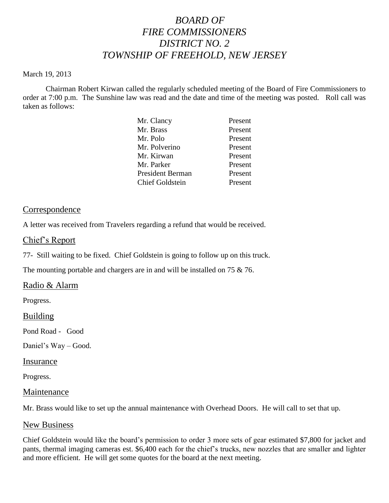# *BOARD OF FIRE COMMISSIONERS DISTRICT NO. 2 TOWNSHIP OF FREEHOLD, NEW JERSEY*

#### March 19, 2013

Chairman Robert Kirwan called the regularly scheduled meeting of the Board of Fire Commissioners to order at 7:00 p.m. The Sunshine law was read and the date and time of the meeting was posted. Roll call was taken as follows:

| Mr. Clancy              | Present |
|-------------------------|---------|
| Mr. Brass               | Present |
| Mr. Polo                | Present |
| Mr. Polverino           | Present |
| Mr. Kirwan              | Present |
| Mr. Parker              | Present |
| <b>President Berman</b> | Present |
| <b>Chief Goldstein</b>  | Present |
|                         |         |

# Correspondence

A letter was received from Travelers regarding a refund that would be received.

# Chief's Report

77- Still waiting to be fixed. Chief Goldstein is going to follow up on this truck.

The mounting portable and chargers are in and will be installed on 75 & 76.

# Radio & Alarm

Progress.

# Building

Pond Road - Good

Daniel's Way – Good.

#### Insurance

Progress.

# Maintenance

Mr. Brass would like to set up the annual maintenance with Overhead Doors. He will call to set that up.

# New Business

Chief Goldstein would like the board's permission to order 3 more sets of gear estimated \$7,800 for jacket and pants, thermal imaging cameras est. \$6,400 each for the chief's trucks, new nozzles that are smaller and lighter and more efficient. He will get some quotes for the board at the next meeting.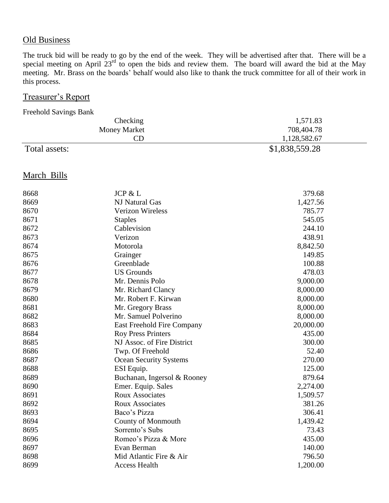# **Old Business**

The truck bid will be ready to go by the end of the week. They will be advertised after that. There will be a special meeting on April  $23^{rd}$  to open the bids and review them. The board will award the bid at the May meeting. Mr. Brass on the boards' behalf would also like to thank the truck committee for all of their work in this process.

# Treasurer's Report

Freehold Savings Bank

| Checking            | 1,571.83       |
|---------------------|----------------|
| <b>Money Market</b> | 708,404.78     |
| CD                  | 1,128,582.67   |
| Total assets:       | \$1,838,559.28 |

# March Bills

| 8668 | JCP & L                       | 379.68    |
|------|-------------------------------|-----------|
| 8669 | NJ Natural Gas                | 1,427.56  |
| 8670 | Verizon Wireless              | 785.77    |
| 8671 | <b>Staples</b>                | 545.05    |
| 8672 | Cablevision                   | 244.10    |
| 8673 | Verizon                       | 438.91    |
| 8674 | Motorola                      | 8,842.50  |
| 8675 | Grainger                      | 149.85    |
| 8676 | Greenblade                    | 100.88    |
| 8677 | <b>US Grounds</b>             | 478.03    |
| 8678 | Mr. Dennis Polo               | 9,000.00  |
| 8679 | Mr. Richard Clancy            | 8,000.00  |
| 8680 | Mr. Robert F. Kirwan          | 8,000.00  |
| 8681 | Mr. Gregory Brass             | 8,000.00  |
| 8682 | Mr. Samuel Polverino          | 8,000.00  |
| 8683 | East Freehold Fire Company    | 20,000.00 |
| 8684 | <b>Roy Press Printers</b>     | 435.00    |
| 8685 | NJ Assoc. of Fire District    | 300.00    |
| 8686 | Twp. Of Freehold              | 52.40     |
| 8687 | <b>Ocean Security Systems</b> | 270.00    |
| 8688 | ESI Equip.                    | 125.00    |
| 8689 | Buchanan, Ingersol & Rooney   | 879.64    |
| 8690 | Emer. Equip. Sales            | 2,274.00  |
| 8691 | <b>Roux Associates</b>        | 1,509.57  |
| 8692 | <b>Roux Associates</b>        | 381.26    |
| 8693 | Baco's Pizza                  | 306.41    |
| 8694 | <b>County of Monmouth</b>     | 1,439.42  |
| 8695 | Sorrento's Subs               | 73.43     |
| 8696 | Romeo's Pizza & More          | 435.00    |
| 8697 | Evan Berman                   | 140.00    |
| 8698 | Mid Atlantic Fire & Air       | 796.50    |
| 8699 | <b>Access Health</b>          | 1,200.00  |